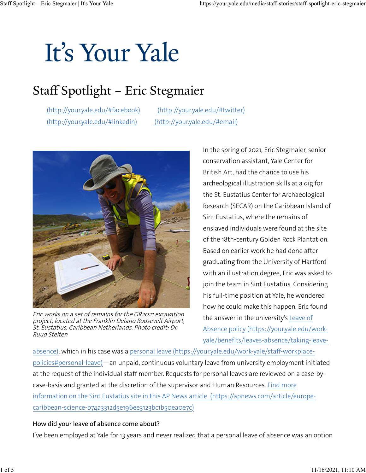# It's Your Yale

## Staff Spotlight – Eric Stegmaier

 [\(http://your.yale.edu/#facebook\)](https://your.yale.edu/#facebook) [\(http://your.yale.edu/#twitter\)](https://your.yale.edu/#twitter)  [\(http://your.yale.edu/#linkedin\)](https://your.yale.edu/#linkedin) [\(http://your.yale.edu/#email\)](https://your.yale.edu/#email)



Eric works on a set of remains for the GR2021 excavation project, located at the Franklin Delano Roosevelt Airport, St. Eustatius, Caribbean Netherlands. Photo credit: Dr. Ruud Stelten

In the spring of 2021, Eric Stegmaier, senior conservation assistant, Yale Center for British Art, had the chance to use his archeological illustration skills at a dig for the St. Eustatius Center for Archaeological Research (SECAR) on the Caribbean Island of Sint Eustatius, where the remains of enslaved individuals were found at the site of the 18th-century Golden Rock Plantation. Based on earlier work he had done after graduating from the University of Hartford with an illustration degree, Eric was asked to join the team in Sint Eustatius. Considering his full-time position at Yale, he wondered how he could make this happen. Eric found the answer in the university's [Leave of](https://your.yale.edu/work-yale/benefits/leaves-absence/taking-leave-absence) [Absence policy](https://your.yale.edu/work-yale/benefits/leaves-absence/taking-leave-absence)  [\(https://your.yale.edu/work](https://your.yale.edu/work-yale/benefits/leaves-absence/taking-leave-absence)[yale/benefits/leaves-absence/taking-leave-](https://your.yale.edu/work-yale/benefits/leaves-absence/taking-leave-absence)

[absence\)](https://your.yale.edu/work-yale/benefits/leaves-absence/taking-leave-absence), which in his case was a personal leave [\(https://your.yale.edu/work-yale/staff-workplace](https://your.yale.edu/work-yale/staff-workplace-policies#personal-leave)[policies#personal-leave\)](https://your.yale.edu/work-yale/staff-workplace-policies#personal-leave)—an unpaid, continuous voluntary leave from university employment initiated at the request of the individual staff member. Requests for personal leaves are reviewed on a case-bycase-basis and granted at the discretion of the supervisor and Human Resources. [Find more](https://apnews.com/article/europe-caribbean-science-b74a3312d5e196ee3123bc1b50ea0e7c) [information on the Sint Eustatius site in this AP News article.](https://apnews.com/article/europe-caribbean-science-b74a3312d5e196ee3123bc1b50ea0e7c)  [\(https://apnews.com/article/europe](https://apnews.com/article/europe-caribbean-science-b74a3312d5e196ee3123bc1b50ea0e7c)[caribbean-science-b74a3312d5e196ee3123bc1b50ea0e7c\)](https://apnews.com/article/europe-caribbean-science-b74a3312d5e196ee3123bc1b50ea0e7c)

#### How did your leave of absence come about?

I've been employed at Yale for 13 years and never realized that a personal leave of absence was an option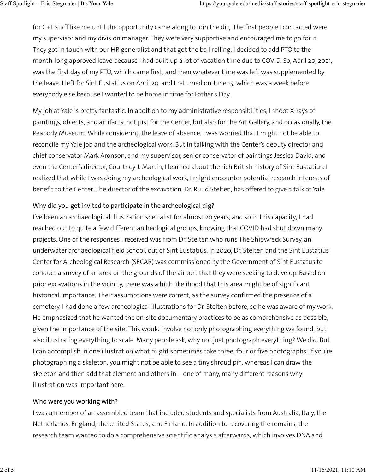for C+T staff like me until the opportunity came along to join the dig. The first people I contacted were my supervisor and my division manager. They were very supportive and encouraged me to go for it. They got in touch with our HR generalist and that got the ball rolling. I decided to add PTO to the month-long approved leave because I had built up a lot of vacation time due to COVID. So, April 20, 2021, was the first day of my PTO, which came first, and then whatever time was left was supplemented by the leave. I left for Sint Eustatius on April 20, and I returned on June 15, which was a week before everybody else because I wanted to be home in time for Father's Day.

My job at Yale is pretty fantastic. In addition to my administrative responsibilities, I shoot X-rays of paintings, objects, and artifacts, not just for the Center, but also for the Art Gallery, and occasionally, the Peabody Museum. While considering the leave of absence, I was worried that I might not be able to reconcile my Yale job and the archeological work. But in talking with the Center's deputy director and chief conservator Mark Aronson, and my supervisor, senior conservator of paintings Jessica David, and even the Center's director, Courtney J. Martin, I learned about the rich British history of Sint Eustatius. I realized that while I was doing my archeological work, I might encounter potential research interests of benefit to the Center. The director of the excavation, Dr. Ruud Stelten, has offered to give a talk at Yale.

### Why did you get invited to participate in the archeological dig?

I've been an archaeological illustration specialist for almost 20 years, and so in this capacity, I had reached out to quite a few different archeological groups, knowing that COVID had shut down many projects. One of the responses I received was from Dr. Stelten who runs The Shipwreck Survey, an underwater archaeological field school, out of Sint Eustatius. In 2020, Dr. Stelten and the Sint Eustatius Center for Archeological Research (SECAR) was commissioned by the Government of Sint Eustatus to conduct a survey of an area on the grounds of the airport that they were seeking to develop. Based on prior excavations in the vicinity, there was a high likelihood that this area might be of significant historical importance. Their assumptions were correct, as the survey confirmed the presence of a cemetery. I had done a few archeological illustrations for Dr. Stelten before, so he was aware of my work. He emphasized that he wanted the on-site documentary practices to be as comprehensive as possible, given the importance of the site. This would involve not only photographing everything we found, but also illustrating everything to scale. Many people ask, why not just photograph everything? We did. But I can accomplish in one illustration what might sometimes take three, four or five photographs. If you're photographing a skeleton, you might not be able to see a tiny shroud pin, whereas I can draw the skeleton and then add that element and others in—one of many, many different reasons why illustration was important here.

### Who were you working with?

I was a member of an assembled team that included students and specialists from Australia, Italy, the Netherlands, England, the United States, and Finland. In addition to recovering the remains, the research team wanted to do a comprehensive scientific analysis afterwards, which involves DNA and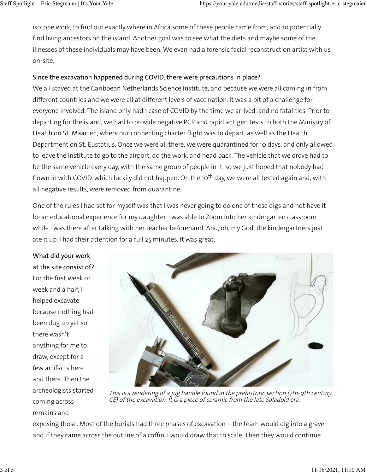isotope work, to find out exactly where in Africa some of these people came from, and to potentially find living ancestors on the island. Another goal was to see what the diets and maybe some of the illnesses of these individuals may have been. We even had a forensic facial reconstruction artist with us on-site.

### Since the excavation happened during COVID, there were precautions in place?

We all stayed at the Caribbean Netherlands Science Institute, and because we were all coming in from different countries and we were all at different levels of vaccination, it was a bit of a challenge for everyone involved. The island only had 1 case of COVID by the time we arrived, and no fatalities. Prior to departing for the island, we had to provide negative PCR and rapid antigen tests to both the Ministry of Health on St. Maarten, where our connecting charter flight was to depart, as well as the Health Department on St. Eustatius. Once we were all there, we were quarantined for 10 days, and only allowed to leave the Institute to go to the airport, do the work, and head back. The vehicle that we drove had to be the same vehicle every day, with the same group of people in it, so we just hoped that nobody had flown in with COVID, which luckily did not happen. On the 10<sup>th</sup> day, we were all tested again and, with all negative results, were removed from quarantine.

One of the rules I had set for myself was that I was never going to do one of these digs and not have it be an educational experience for my daughter. I was able to Zoom into her kindergarten classroom while I was there after talking with her teacher beforehand. And, oh, my God, the kindergartners just ate it up. I had their attention for a full 25 minutes. It was great.

What did your work at the site consist of? For the first week or week and a half, I helped excavate because nothing had been dug up yet so there wasn't anything for me to draw, except for a few artifacts here and there. Then the archeologists started coming across remains and



This is a rendering of a jug handle found in the prehistoric section (7th-9th century CE) of the excavation. It is a piece of ceramic from the late Saladoid era.

exposing those. Most of the burials had three phases of excavation—the team would dig into a grave and if they came across the outline of a coffin, I would draw that to scale. Then they would continue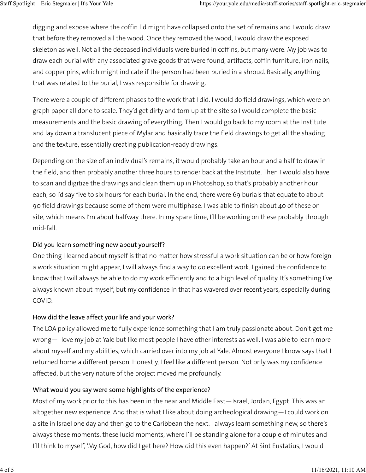digging and expose where the coffin lid might have collapsed onto the set of remains and I would draw that before they removed all the wood. Once they removed the wood, I would draw the exposed skeleton as well. Not all the deceased individuals were buried in coffins, but many were. My job was to draw each burial with any associated grave goods that were found, artifacts, coffin furniture, iron nails, and copper pins, which might indicate if the person had been buried in a shroud. Basically, anything that was related to the burial, I was responsible for drawing.

There were a couple of different phases to the work that I did. I would do field drawings, which were on graph paper all done to scale. They'd get dirty and torn up at the site so I would complete the basic measurements and the basic drawing of everything. Then I would go back to my room at the Institute and lay down a translucent piece of Mylar and basically trace the field drawings to get all the shading and the texture, essentially creating publication-ready drawings.

Depending on the size of an individual's remains, it would probably take an hour and a half to draw in the field, and then probably another three hours to render back at the Institute. Then I would also have to scan and digitize the drawings and clean them up in Photoshop, so that's probably another hour each, so I'd say five to six hours for each burial. In the end, there were 69 burials that equate to about 90 field drawings because some of them were multiphase. I was able to finish about 40 of these on site, which means I'm about halfway there. In my spare time, I'll be working on these probably through mid-fall.

### Did you learn something new about yourself?

One thing I learned about myself is that no matter how stressful a work situation can be or how foreign a work situation might appear, I will always find a way to do excellent work. I gained the confidence to know that I will always be able to do my work efficiently and to a high level of quality. It's something I've always known about myself, but my confidence in that has wavered over recent years, especially during COVID.

### How did the leave affect your life and your work?

The LOA policy allowed me to fully experience something that I am truly passionate about. Don't get me wrong—I love my job at Yale but like most people I have other interests as well. I was able to learn more about myself and my abilities, which carried over into my job at Yale. Almost everyone I know says that I returned home a different person. Honestly, I feel like a different person. Not only was my confidence affected, but the very nature of the project moved me profoundly.

### What would you say were some highlights of the experience?

Most of my work prior to this has been in the near and Middle East—Israel, Jordan, Egypt. This was an altogether new experience. And that is what I like about doing archeological drawing—I could work on a site in Israel one day and then go to the Caribbean the next. I always learn something new, so there's always these moments, these lucid moments, where I'll be standing alone for a couple of minutes and I'll think to myself, 'My God, how did I get here? How did this even happen?' At Sint Eustatius, I would